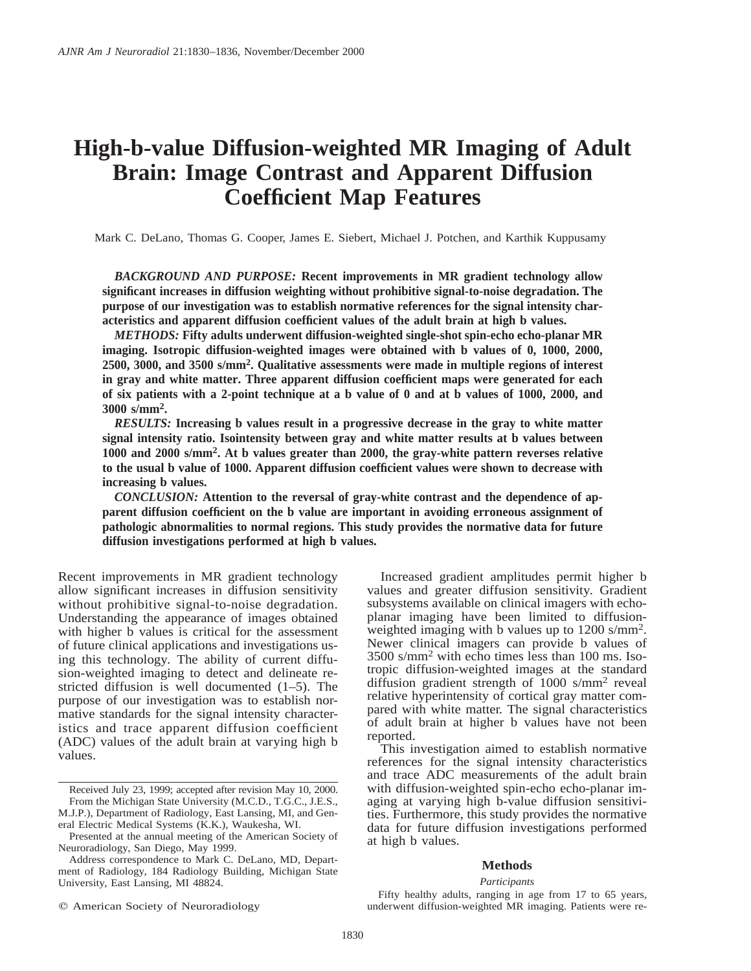# **High-b-value Diffusion-weighted MR Imaging of Adult Brain: Image Contrast and Apparent Diffusion Coefficient Map Features**

Mark C. DeLano, Thomas G. Cooper, James E. Siebert, Michael J. Potchen, and Karthik Kuppusamy

*BACKGROUND AND PURPOSE:* **Recent improvements in MR gradient technology allow significant increases in diffusion weighting without prohibitive signal-to-noise degradation. The purpose of our investigation was to establish normative references for the signal intensity characteristics and apparent diffusion coefficient values of the adult brain at high b values.**

*METHODS:* **Fifty adults underwent diffusion-weighted single-shot spin-echo echo-planar MR imaging. Isotropic diffusion-weighted images were obtained with b values of 0, 1000, 2000, 2500, 3000, and 3500 s/mm2. Qualitative assessments were made in multiple regions of interest in gray and white matter. Three apparent diffusion coefficient maps were generated for each of six patients with a 2-point technique at a b value of 0 and at b values of 1000, 2000, and 3000 s/mm2.**

*RESULTS:* **Increasing b values result in a progressive decrease in the gray to white matter signal intensity ratio. Isointensity between gray and white matter results at b values between 1000 and 2000 s/mm2. At b values greater than 2000, the gray-white pattern reverses relative to the usual b value of 1000. Apparent diffusion coefficient values were shown to decrease with increasing b values.**

*CONCLUSION:* **Attention to the reversal of gray-white contrast and the dependence of apparent diffusion coefficient on the b value are important in avoiding erroneous assignment of pathologic abnormalities to normal regions. This study provides the normative data for future diffusion investigations performed at high b values.**

Recent improvements in MR gradient technology allow significant increases in diffusion sensitivity without prohibitive signal-to-noise degradation. Understanding the appearance of images obtained with higher b values is critical for the assessment of future clinical applications and investigations using this technology. The ability of current diffusion-weighted imaging to detect and delineate restricted diffusion is well documented (1–5). The purpose of our investigation was to establish normative standards for the signal intensity characteristics and trace apparent diffusion coefficient (ADC) values of the adult brain at varying high b values.

 $Q$  American Society of Neuroradiology

Increased gradient amplitudes permit higher b values and greater diffusion sensitivity. Gradient subsystems available on clinical imagers with echoplanar imaging have been limited to diffusionweighted imaging with b values up to 1200 s/mm2. Newer clinical imagers can provide b values of 3500 s/mm2 with echo times less than 100 ms. Isotropic diffusion-weighted images at the standard diffusion gradient strength of 1000 s/mm2 reveal relative hyperintensity of cortical gray matter compared with white matter. The signal characteristics of adult brain at higher b values have not been reported.

This investigation aimed to establish normative references for the signal intensity characteristics and trace ADC measurements of the adult brain with diffusion-weighted spin-echo echo-planar imaging at varying high b-value diffusion sensitivities. Furthermore, this study provides the normative data for future diffusion investigations performed at high b values.

# **Methods**

## *Participants*

Received July 23, 1999; accepted after revision May 10, 2000. From the Michigan State University (M.C.D., T.G.C., J.E.S., M.J.P.), Department of Radiology, East Lansing, MI, and General Electric Medical Systems (K.K.), Waukesha, WI.

Presented at the annual meeting of the American Society of Neuroradiology, San Diego, May 1999.

Address correspondence to Mark C. DeLano, MD, Department of Radiology, 184 Radiology Building, Michigan State University, East Lansing, MI 48824.

Fifty healthy adults, ranging in age from 17 to 65 years, underwent diffusion-weighted MR imaging. Patients were re-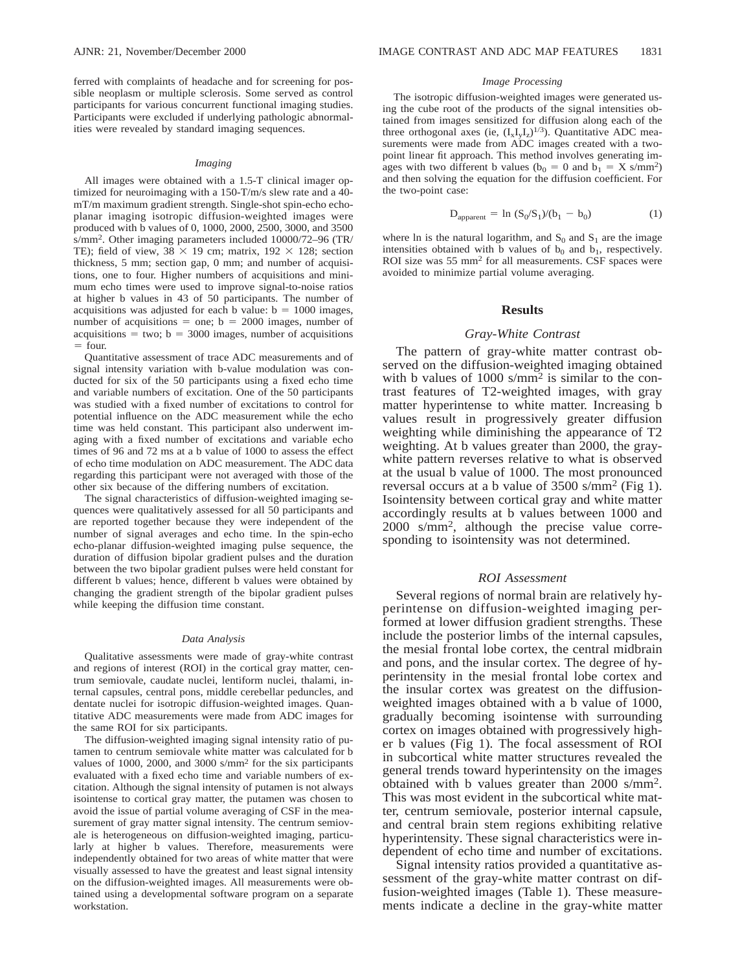ferred with complaints of headache and for screening for possible neoplasm or multiple sclerosis. Some served as control participants for various concurrent functional imaging studies. Participants were excluded if underlying pathologic abnormalities were revealed by standard imaging sequences.

## *Imaging*

All images were obtained with a 1.5-T clinical imager optimized for neuroimaging with a 150-T/m/s slew rate and a 40 mT/m maximum gradient strength. Single-shot spin-echo echoplanar imaging isotropic diffusion-weighted images were produced with b values of 0, 1000, 2000, 2500, 3000, and 3500 s/mm2. Other imaging parameters included 10000/72–96 (TR/ TE); field of view,  $38 \times 19$  cm; matrix,  $192 \times 128$ ; section thickness, 5 mm; section gap, 0 mm; and number of acquisitions, one to four. Higher numbers of acquisitions and minimum echo times were used to improve signal-to-noise ratios at higher b values in 43 of 50 participants. The number of acquisitions was adjusted for each b value:  $b = 1000$  images, number of acquisitions  $=$  one; b  $= 2000$  images, number of acquisitions  $=$  two; b = 3000 images, number of acquisitions  $=$  four.

Quantitative assessment of trace ADC measurements and of signal intensity variation with b-value modulation was conducted for six of the 50 participants using a fixed echo time and variable numbers of excitation. One of the 50 participants was studied with a fixed number of excitations to control for potential influence on the ADC measurement while the echo time was held constant. This participant also underwent imaging with a fixed number of excitations and variable echo times of 96 and 72 ms at a b value of 1000 to assess the effect of echo time modulation on ADC measurement. The ADC data regarding this participant were not averaged with those of the other six because of the differing numbers of excitation.

The signal characteristics of diffusion-weighted imaging sequences were qualitatively assessed for all 50 participants and are reported together because they were independent of the number of signal averages and echo time. In the spin-echo echo-planar diffusion-weighted imaging pulse sequence, the duration of diffusion bipolar gradient pulses and the duration between the two bipolar gradient pulses were held constant for different b values; hence, different b values were obtained by changing the gradient strength of the bipolar gradient pulses while keeping the diffusion time constant.

#### *Data Analysis*

Qualitative assessments were made of gray-white contrast and regions of interest (ROI) in the cortical gray matter, centrum semiovale, caudate nuclei, lentiform nuclei, thalami, internal capsules, central pons, middle cerebellar peduncles, and dentate nuclei for isotropic diffusion-weighted images. Quantitative ADC measurements were made from ADC images for the same ROI for six participants.

The diffusion-weighted imaging signal intensity ratio of putamen to centrum semiovale white matter was calculated for b values of 1000, 2000, and 3000 s/mm2 for the six participants evaluated with a fixed echo time and variable numbers of excitation. Although the signal intensity of putamen is not always isointense to cortical gray matter, the putamen was chosen to avoid the issue of partial volume averaging of CSF in the measurement of gray matter signal intensity. The centrum semiovale is heterogeneous on diffusion-weighted imaging, particularly at higher b values. Therefore, measurements were independently obtained for two areas of white matter that were visually assessed to have the greatest and least signal intensity on the diffusion-weighted images. All measurements were obtained using a developmental software program on a separate workstation.

## *Image Processing*

The isotropic diffusion-weighted images were generated using the cube root of the products of the signal intensities obtained from images sensitized for diffusion along each of the three orthogonal axes (ie,  $(I_xI_yI_z)^{1/3}$ ). Quantitative ADC measurements were made from ADC images created with a twopoint linear fit approach. This method involves generating images with two different b values ( $b_0 = 0$  and  $b_1 = X \text{ s/mm}^2$ ) and then solving the equation for the diffusion coefficient. For the two-point case:

$$
D_{apparent} = \ln (S_0 / S_1) / (b_1 - b_0)
$$
 (1)

where ln is the natural logarithm, and  $S_0$  and  $S_1$  are the image intensities obtained with b values of  $b_0$  and  $b_1$ , respectively. ROI size was 55 mm2 for all measurements. CSF spaces were avoided to minimize partial volume averaging.

# **Results**

# *Gray-White Contrast*

The pattern of gray-white matter contrast observed on the diffusion-weighted imaging obtained with b values of  $1000 \text{ s/mm}^2$  is similar to the contrast features of T2-weighted images, with gray matter hyperintense to white matter. Increasing b values result in progressively greater diffusion weighting while diminishing the appearance of T2 weighting. At b values greater than 2000, the graywhite pattern reverses relative to what is observed at the usual b value of 1000. The most pronounced reversal occurs at a b value of 3500 s/mm2 (Fig 1). Isointensity between cortical gray and white matter accordingly results at b values between 1000 and 2000 s/mm2, although the precise value corresponding to isointensity was not determined.

# *ROI Assessment*

Several regions of normal brain are relatively hyperintense on diffusion-weighted imaging performed at lower diffusion gradient strengths. These include the posterior limbs of the internal capsules, the mesial frontal lobe cortex, the central midbrain and pons, and the insular cortex. The degree of hyperintensity in the mesial frontal lobe cortex and the insular cortex was greatest on the diffusionweighted images obtained with a b value of 1000, gradually becoming isointense with surrounding cortex on images obtained with progressively higher b values (Fig 1). The focal assessment of ROI in subcortical white matter structures revealed the general trends toward hyperintensity on the images obtained with b values greater than 2000 s/mm2. This was most evident in the subcortical white matter, centrum semiovale, posterior internal capsule, and central brain stem regions exhibiting relative hyperintensity. These signal characteristics were independent of echo time and number of excitations.

Signal intensity ratios provided a quantitative assessment of the gray-white matter contrast on diffusion-weighted images (Table 1). These measurements indicate a decline in the gray-white matter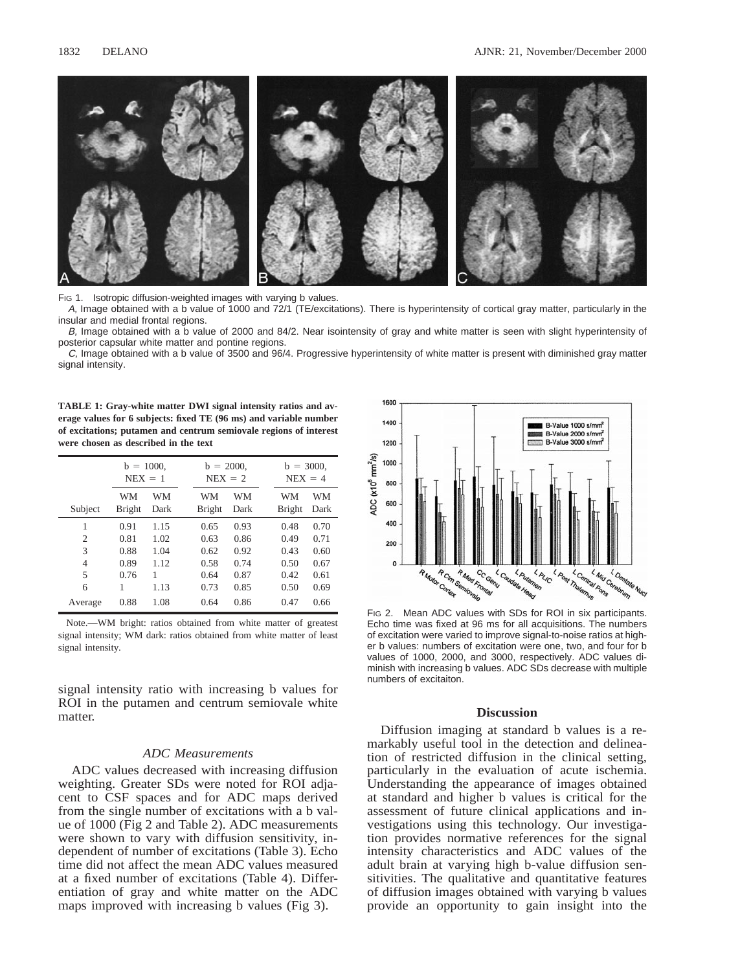

FIG 1. Isotropic diffusion-weighted images with varying b values.

A, Image obtained with a b value of 1000 and 72/1 (TE/excitations). There is hyperintensity of cortical gray matter, particularly in the insular and medial frontal regions.

B, Image obtained with a b value of 2000 and 84/2. Near isointensity of gray and white matter is seen with slight hyperintensity of posterior capsular white matter and pontine regions.

C, Image obtained with a b value of 3500 and 96/4. Progressive hyperintensity of white matter is present with diminished gray matter signal intensity.

**TABLE 1: Gray-white matter DWI signal intensity ratios and average values for 6 subjects: fixed TE (96 ms) and variable number of excitations; putamen and centrum semiovale regions of interest were chosen as described in the text**

|                | $b = 1000$ .<br>$NEX = 1$ |            | $b = 2000$ .<br>$NEX = 2$ |                     | $b = 3000$ .<br>$NEX = 4$ |                     |            |
|----------------|---------------------------|------------|---------------------------|---------------------|---------------------------|---------------------|------------|
| Subject        | WM<br><b>Bright</b>       | WM<br>Dark |                           | WM<br><b>Bright</b> | WM<br>Dark                | WM<br><b>Bright</b> | WM<br>Dark |
|                | 0.91                      | 1.15       |                           | 0.65                | 0.93                      | 0.48                | 0.70       |
| $\overline{c}$ | 0.81                      | 1.02       |                           | 0.63                | 0.86                      | 0.49                | 0.71       |
| 3              | 0.88                      | 1.04       |                           | 0.62                | 0.92                      | 0.43                | 0.60       |
| 4              | 0.89                      | 1.12       |                           | 0.58                | 0.74                      | 0.50                | 0.67       |
| 5              | 0.76                      | 1          |                           | 0.64                | 0.87                      | 0.42                | 0.61       |
| 6              | 1                         | 1.13       |                           | 0.73                | 0.85                      | 0.50                | 0.69       |
| Average        | 0.88                      | 1.08       |                           | 0.64                | 0.86                      | 0.47                | 0.66       |

Note.—WM bright: ratios obtained from white matter of greatest signal intensity; WM dark: ratios obtained from white matter of least signal intensity.

signal intensity ratio with increasing b values for ROI in the putamen and centrum semiovale white matter.

# *ADC Measurements*

ADC values decreased with increasing diffusion weighting. Greater SDs were noted for ROI adjacent to CSF spaces and for ADC maps derived from the single number of excitations with a b value of 1000 (Fig 2 and Table 2). ADC measurements were shown to vary with diffusion sensitivity, independent of number of excitations (Table 3). Echo time did not affect the mean ADC values measured at a fixed number of excitations (Table 4). Differentiation of gray and white matter on the ADC maps improved with increasing b values (Fig 3).



FIG 2. Mean ADC values with SDs for ROI in six participants. Echo time was fixed at 96 ms for all acquisitions. The numbers of excitation were varied to improve signal-to-noise ratios at higher b values: numbers of excitation were one, two, and four for b values of 1000, 2000, and 3000, respectively. ADC values diminish with increasing b values. ADC SDs decrease with multiple numbers of excitaiton.

# **Discussion**

Diffusion imaging at standard b values is a remarkably useful tool in the detection and delineation of restricted diffusion in the clinical setting, particularly in the evaluation of acute ischemia. Understanding the appearance of images obtained at standard and higher b values is critical for the assessment of future clinical applications and investigations using this technology. Our investigation provides normative references for the signal intensity characteristics and ADC values of the adult brain at varying high b-value diffusion sensitivities. The qualitative and quantitative features of diffusion images obtained with varying b values provide an opportunity to gain insight into the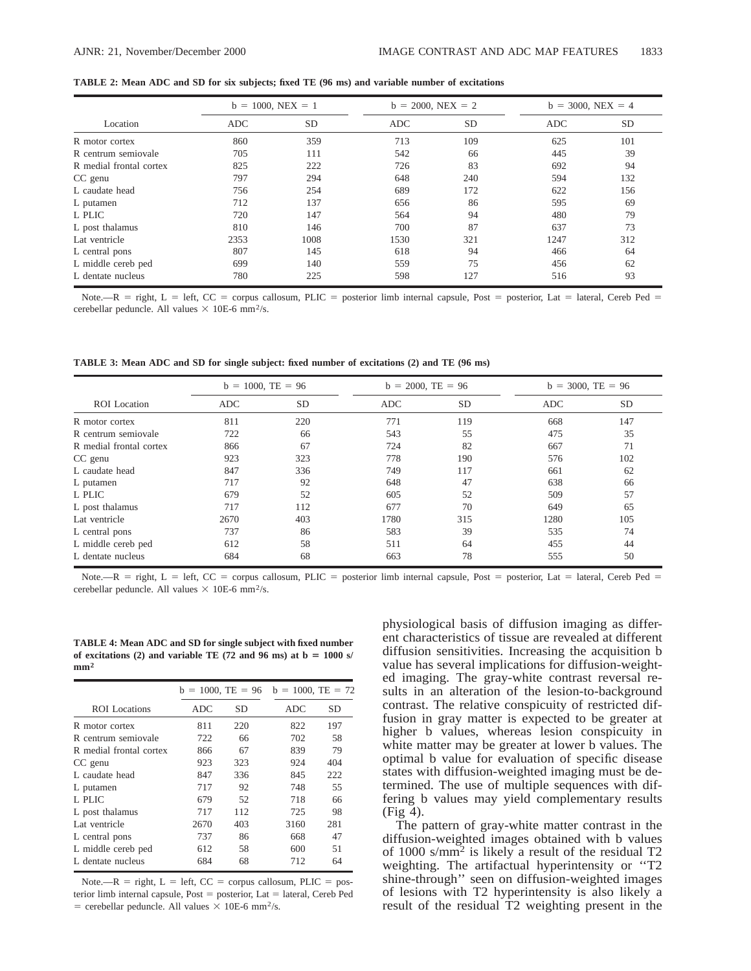|                         | $b = 1000$ , NEX = 1 |      | $b = 2000$ , NEX = 2 |           | $b = 3000$ , NEX = 4 |           |
|-------------------------|----------------------|------|----------------------|-----------|----------------------|-----------|
| Location                | <b>ADC</b>           | SD   | <b>ADC</b>           | <b>SD</b> | <b>ADC</b>           | <b>SD</b> |
| R motor cortex          | 860                  | 359  | 713                  | 109       | 625                  | 101       |
| R centrum semiovale     | 705                  | 111  | 542                  | 66        | 445                  | 39        |
| R medial frontal cortex | 825                  | 222  | 726                  | 83        | 692                  | 94        |
| CC genu                 | 797                  | 294  | 648                  | 240       | 594                  | 132       |
| L caudate head          | 756                  | 254  | 689                  | 172       | 622                  | 156       |
| L putamen               | 712                  | 137  | 656                  | 86        | 595                  | 69        |
| L PLIC                  | 720                  | 147  | 564                  | 94        | 480                  | 79        |
| L post thalamus         | 810                  | 146  | 700                  | 87        | 637                  | 73        |
| Lat ventricle           | 2353                 | 1008 | 1530                 | 321       | 1247                 | 312       |
| L central pons          | 807                  | 145  | 618                  | 94        | 466                  | 64        |
| L middle cereb ped      | 699                  | 140  | 559                  | 75        | 456                  | 62        |
| L dentate nucleus       | 780                  | 225  | 598                  | 127       | 516                  | 93        |

**TABLE 2: Mean ADC and SD for six subjects; fixed TE (96 ms) and variable number of excitations**

Note.—R = right, L = left, CC = corpus callosum, PLIC = posterior limb internal capsule, Post = posterior, Lat = lateral, Cereb Ped = cerebellar peduncle. All values  $\times$  10E-6 mm<sup>2</sup>/s.

**TABLE 3: Mean ADC and SD for single subject: fixed number of excitations (2) and TE (96 ms)**

|                         | $b = 1000$ , TE = 96 |           | $b = 2000$ , TE = 96 |           | $b = 3000$ , TE = 96 |           |
|-------------------------|----------------------|-----------|----------------------|-----------|----------------------|-----------|
| <b>ROI</b> Location     | <b>ADC</b>           | <b>SD</b> | <b>ADC</b>           | <b>SD</b> | ADC                  | <b>SD</b> |
| R motor cortex          | 811                  | 220       | 771                  | 119       | 668                  | 147       |
| R centrum semiovale     | 722                  | 66        | 543                  | 55        | 475                  | 35        |
| R medial frontal cortex | 866                  | 67        | 724                  | 82        | 667                  | 71        |
| CC genu                 | 923                  | 323       | 778                  | 190       | 576                  | 102       |
| L caudate head          | 847                  | 336       | 749                  | 117       | 661                  | 62        |
| L putamen               | 717                  | 92        | 648                  | 47        | 638                  | 66        |
| L PLIC                  | 679                  | 52        | 605                  | 52        | 509                  | 57        |
| L post thalamus         | 717                  | 112       | 677                  | 70        | 649                  | 65        |
| Lat ventricle           | 2670                 | 403       | 1780                 | 315       | 1280                 | 105       |
| L central pons          | 737                  | 86        | 583                  | 39        | 535                  | 74        |
| L middle cereb ped      | 612                  | 58        | 511                  | 64        | 455                  | 44        |
| L dentate nucleus       | 684                  | 68        | 663                  | 78        | 555                  | 50        |

Note.—R = right, L = left, CC = corpus callosum, PLIC = posterior limb internal capsule, Post = posterior, Lat = lateral, Cereb Ped = cerebellar peduncle. All values  $\times$  10E-6 mm<sup>2</sup>/s.

**TABLE 4: Mean ADC and SD for single subject with fixed number** of excitations (2) and variable TE (72 and 96 ms) at  $b = 1000$  s/ **mm<sup>2</sup>**

|                         |      | $b = 1000$ , TE = 96 | $b = 1000$ , TE = 72 |     |  |
|-------------------------|------|----------------------|----------------------|-----|--|
| ROI Locations           | ADC. | SD                   | ADC.                 | SD  |  |
| R motor cortex          | 811  | 220                  | 822                  | 197 |  |
| R centrum semiovale     | 722  | 66                   | 702                  | 58  |  |
| R medial frontal cortex | 866  | 67                   | 839                  | 79  |  |
| CC genu                 | 923  | 323                  | 924                  | 404 |  |
| L caudate head          | 847  | 336                  | 845                  | 222 |  |
| L putamen               | 717  | 92                   | 748                  | 55  |  |
| L PLIC                  | 679  | 52                   | 718                  | 66  |  |
| L post thalamus         | 717  | 112                  | 725                  | 98  |  |
| Lat ventricle           | 2670 | 403                  | 3160                 | 281 |  |
| L central pons          | 737  | 86                   | 668                  | 47  |  |
| L middle cereb ped      | 612  | 58                   | 600                  | 51  |  |
| L dentate nucleus       | 684  | 68                   | 712                  | 64  |  |

Note.—R = right,  $L = left$ ,  $CC = corpus$  callosum, PLIC = posterior limb internal capsule,  $Post = posterior$ , Lat = lateral, Cereb Ped  $=$  cerebellar peduncle. All values  $\times$  10E-6 mm<sup>2</sup>/s.

physiological basis of diffusion imaging as different characteristics of tissue are revealed at different diffusion sensitivities. Increasing the acquisition b value has several implications for diffusion-weighted imaging. The gray-white contrast reversal results in an alteration of the lesion-to-background contrast. The relative conspicuity of restricted diffusion in gray matter is expected to be greater at higher b values, whereas lesion conspicuity in white matter may be greater at lower b values. The optimal b value for evaluation of specific disease states with diffusion-weighted imaging must be determined. The use of multiple sequences with differing b values may yield complementary results (Fig 4).

The pattern of gray-white matter contrast in the diffusion-weighted images obtained with b values of 1000 s/mm2 is likely a result of the residual T2 weighting. The artifactual hyperintensity or "T2 shine-through'' seen on diffusion-weighted images of lesions with T2 hyperintensity is also likely a result of the residual T2 weighting present in the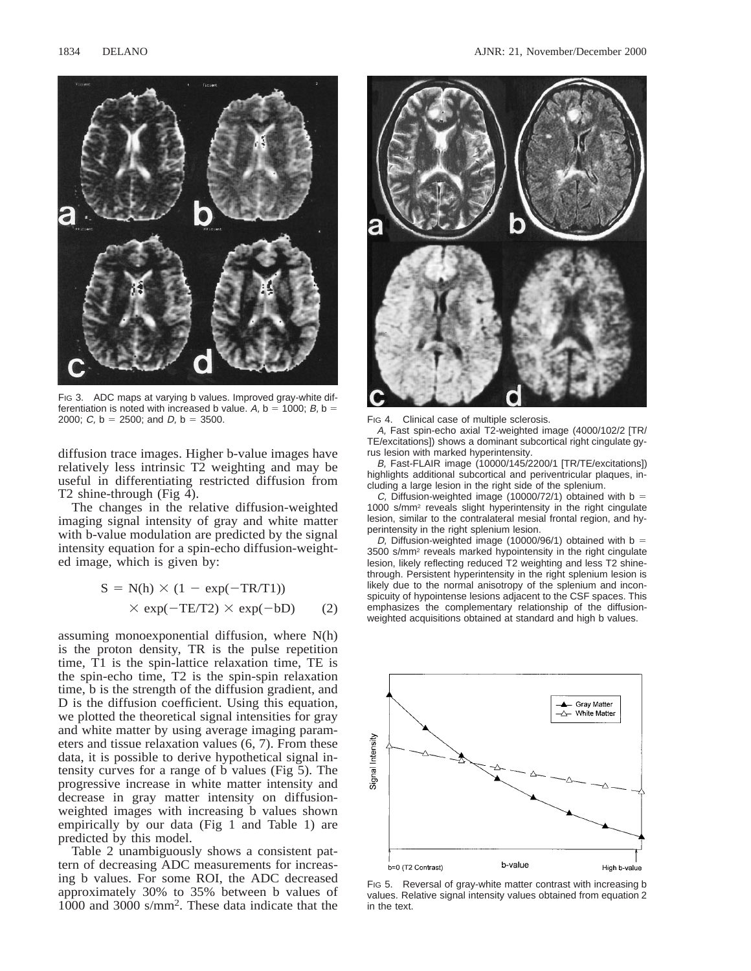

FIG 3. ADC maps at varying b values. Improved gray-white differentiation is noted with increased b value. A,  $b = 1000$ ; B,  $b =$ 2000;  $C$ ,  $b = 2500$ ; and  $D$ ,  $b = 3500$ . FIG 4. Clinical case of multiple sclerosis.

diffusion trace images. Higher b-value images have relatively less intrinsic T2 weighting and may be useful in differentiating restricted diffusion from T2 shine-through (Fig 4).

The changes in the relative diffusion-weighted imaging signal intensity of gray and white matter with b-value modulation are predicted by the signal intensity equation for a spin-echo diffusion-weighted image, which is given by:

$$
S = N(h) \times (1 - \exp(-TR/T1))
$$
  
 
$$
\times \exp(-TE/T2) \times \exp(-bD)
$$
 (2)

assuming monoexponential diffusion, where N(h) is the proton density, TR is the pulse repetition time, T1 is the spin-lattice relaxation time, TE is the spin-echo time, T2 is the spin-spin relaxation time, b is the strength of the diffusion gradient, and D is the diffusion coefficient. Using this equation, we plotted the theoretical signal intensities for gray and white matter by using average imaging parameters and tissue relaxation values (6, 7). From these data, it is possible to derive hypothetical signal intensity curves for a range of b values (Fig 5). The progressive increase in white matter intensity and decrease in gray matter intensity on diffusionweighted images with increasing b values shown empirically by our data (Fig 1 and Table 1) are predicted by this model.

Table 2 unambiguously shows a consistent pattern of decreasing ADC measurements for increasing b values. For some ROI, the ADC decreased approximately 30% to 35% between b values of 1000 and 3000 s/mm2. These data indicate that the



A, Fast spin-echo axial T2-weighted image (4000/102/2 [TR/ TE/excitations]) shows a dominant subcortical right cingulate gyrus lesion with marked hyperintensity.

B, Fast-FLAIR image (10000/145/2200/1 [TR/TE/excitations]) highlights additional subcortical and periventricular plaques, including a large lesion in the right side of the splenium.

C, Diffusion-weighted image (10000/72/1) obtained with  $b =$ 1000 s/mm2 reveals slight hyperintensity in the right cingulate lesion, similar to the contralateral mesial frontal region, and hyperintensity in the right splenium lesion.

D, Diffusion-weighted image (10000/96/1) obtained with b = 3500 s/mm2 reveals marked hypointensity in the right cingulate lesion, likely reflecting reduced T2 weighting and less T2 shinethrough. Persistent hyperintensity in the right splenium lesion is likely due to the normal anisotropy of the splenium and inconspicuity of hypointense lesions adjacent to the CSF spaces. This emphasizes the complementary relationship of the diffusionweighted acquisitions obtained at standard and high b values.



FIG 5. Reversal of gray-white matter contrast with increasing b values. Relative signal intensity values obtained from equation 2 in the text.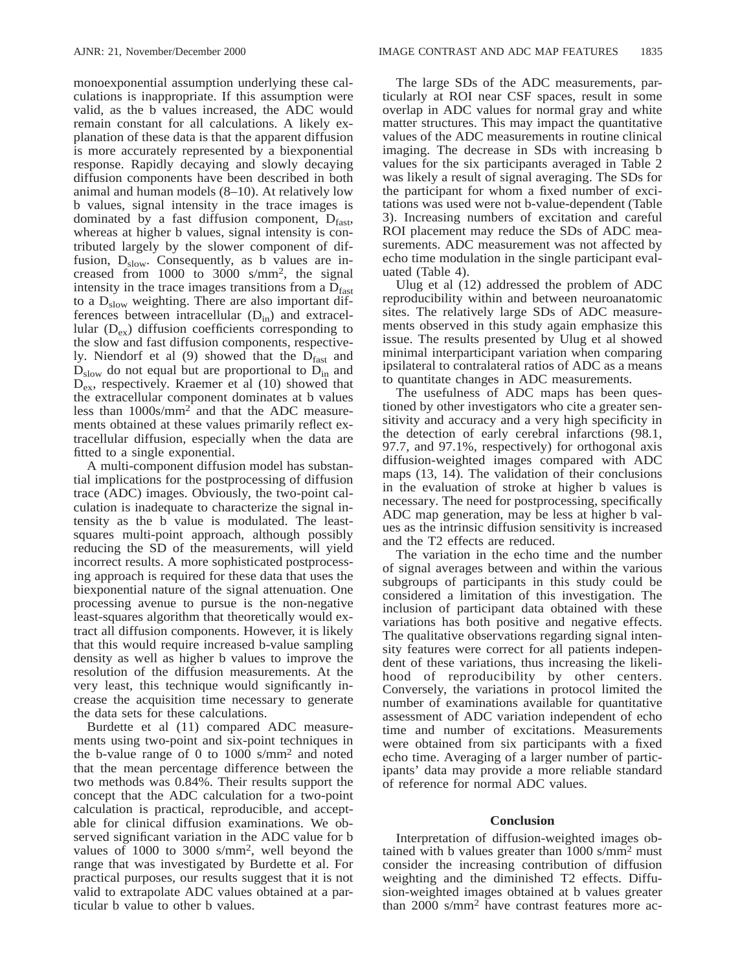monoexponential assumption underlying these calculations is inappropriate. If this assumption were valid, as the b values increased, the ADC would remain constant for all calculations. A likely explanation of these data is that the apparent diffusion is more accurately represented by a biexponential response. Rapidly decaying and slowly decaying diffusion components have been described in both animal and human models (8–10). At relatively low b values, signal intensity in the trace images is dominated by a fast diffusion component,  $D<sub>fast</sub>$ , whereas at higher b values, signal intensity is contributed largely by the slower component of diffusion,  $D_{slow}$ . Consequently, as b values are increased from 1000 to 3000 s/mm2, the signal intensity in the trace images transitions from a  $D<sub>fast</sub>$ to a  $D<sub>slow</sub>$  weighting. There are also important differences between intracellular  $(D<sub>in</sub>)$  and extracellular  $(D_{ex})$  diffusion coefficients corresponding to the slow and fast diffusion components, respectively. Niendorf et al  $(9)$  showed that the  $D<sub>fast</sub>$  and  $D_{slow}$  do not equal but are proportional to  $D_{in}$  and  $D_{\text{ex}}$ , respectively. Kraemer et al (10) showed that the extracellular component dominates at b values less than 1000s/mm2 and that the ADC measurements obtained at these values primarily reflect extracellular diffusion, especially when the data are fitted to a single exponential.

A multi-component diffusion model has substantial implications for the postprocessing of diffusion trace (ADC) images. Obviously, the two-point calculation is inadequate to characterize the signal intensity as the b value is modulated. The leastsquares multi-point approach, although possibly reducing the SD of the measurements, will yield incorrect results. A more sophisticated postprocessing approach is required for these data that uses the biexponential nature of the signal attenuation. One processing avenue to pursue is the non-negative least-squares algorithm that theoretically would extract all diffusion components. However, it is likely that this would require increased b-value sampling density as well as higher b values to improve the resolution of the diffusion measurements. At the very least, this technique would significantly increase the acquisition time necessary to generate the data sets for these calculations.

Burdette et al (11) compared ADC measurements using two-point and six-point techniques in the b-value range of 0 to 1000 s/mm2 and noted that the mean percentage difference between the two methods was 0.84%. Their results support the concept that the ADC calculation for a two-point calculation is practical, reproducible, and acceptable for clinical diffusion examinations. We observed significant variation in the ADC value for b values of 1000 to 3000 s/mm2, well beyond the range that was investigated by Burdette et al. For practical purposes, our results suggest that it is not valid to extrapolate ADC values obtained at a particular b value to other b values.

The large SDs of the ADC measurements, particularly at ROI near CSF spaces, result in some overlap in ADC values for normal gray and white matter structures. This may impact the quantitative values of the ADC measurements in routine clinical imaging. The decrease in SDs with increasing b values for the six participants averaged in Table 2 was likely a result of signal averaging. The SDs for the participant for whom a fixed number of excitations was used were not b-value-dependent (Table 3). Increasing numbers of excitation and careful ROI placement may reduce the SDs of ADC measurements. ADC measurement was not affected by echo time modulation in the single participant evaluated (Table 4).

Ulug et al (12) addressed the problem of ADC reproducibility within and between neuroanatomic sites. The relatively large SDs of ADC measurements observed in this study again emphasize this issue. The results presented by Ulug et al showed minimal interparticipant variation when comparing ipsilateral to contralateral ratios of ADC as a means to quantitate changes in ADC measurements.

The usefulness of ADC maps has been questioned by other investigators who cite a greater sensitivity and accuracy and a very high specificity in the detection of early cerebral infarctions (98.1, 97.7, and 97.1%, respectively) for orthogonal axis diffusion-weighted images compared with ADC maps (13, 14). The validation of their conclusions in the evaluation of stroke at higher b values is necessary. The need for postprocessing, specifically ADC map generation, may be less at higher b values as the intrinsic diffusion sensitivity is increased and the T2 effects are reduced.

The variation in the echo time and the number of signal averages between and within the various subgroups of participants in this study could be considered a limitation of this investigation. The inclusion of participant data obtained with these variations has both positive and negative effects. The qualitative observations regarding signal intensity features were correct for all patients independent of these variations, thus increasing the likelihood of reproducibility by other centers. Conversely, the variations in protocol limited the number of examinations available for quantitative assessment of ADC variation independent of echo time and number of excitations. Measurements were obtained from six participants with a fixed echo time. Averaging of a larger number of participants' data may provide a more reliable standard of reference for normal ADC values.

# **Conclusion**

Interpretation of diffusion-weighted images obtained with b values greater than 1000 s/mm2 must consider the increasing contribution of diffusion weighting and the diminished T2 effects. Diffusion-weighted images obtained at b values greater than 2000 s/mm2 have contrast features more ac